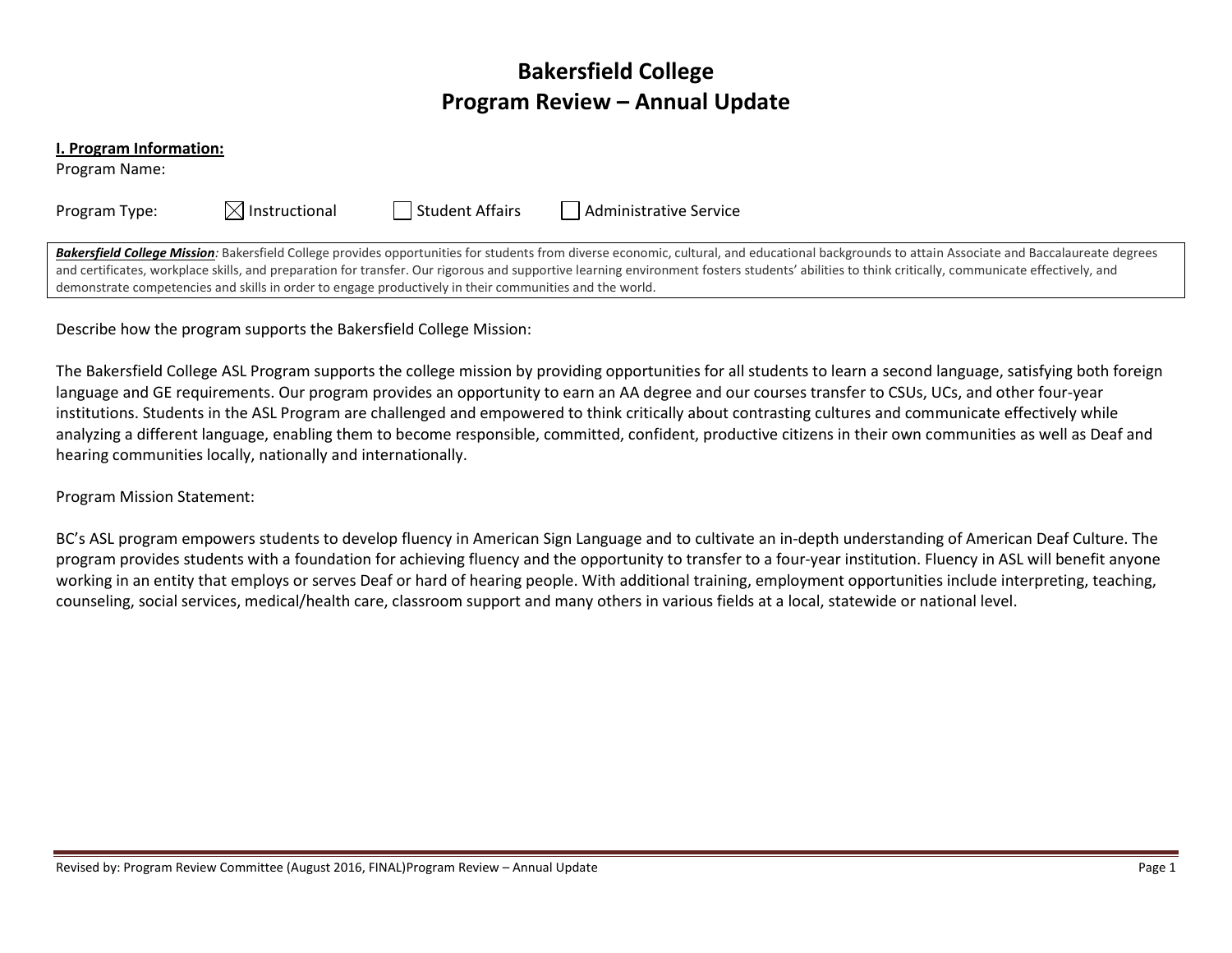# **Bakersfield College Program Review – Annual Update**

#### **I. Program Information:**

Program Name:

| Program Type: |  |
|---------------|--|
|---------------|--|

 $\boxtimes$  Instructional **The Student Affairs** Administrative Service

Bakersfield College Mission: Bakersfield College provides opportunities for students from diverse economic, cultural, and educational backgrounds to attain Associate and Baccalaureate degrees and certificates, workplace skills, and preparation for transfer. Our rigorous and supportive learning environment fosters students' abilities to think critically, communicate effectively, and demonstrate competencies and skills in order to engage productively in their communities and the world.

Describe how the program supports the Bakersfield College Mission:

The Bakersfield College ASL Program supports the college mission by providing opportunities for all students to learn a second language, satisfying both foreign language and GE requirements. Our program provides an opportunity to earn an AA degree and our courses transfer to CSUs, UCs, and other four-year institutions. Students in the ASL Program are challenged and empowered to think critically about contrasting cultures and communicate effectively while analyzing a different language, enabling them to become responsible, committed, confident, productive citizens in their own communities as well as Deaf and hearing communities locally, nationally and internationally.

Program Mission Statement:

BC's ASL program empowers students to develop fluency in American Sign Language and to cultivate an in-depth understanding of American Deaf Culture. The program provides students with a foundation for achieving fluency and the opportunity to transfer to a four-year institution. Fluency in ASL will benefit anyone working in an entity that employs or serves Deaf or hard of hearing people. With additional training, employment opportunities include interpreting, teaching, counseling, social services, medical/health care, classroom support and many others in various fields at a local, statewide or national level.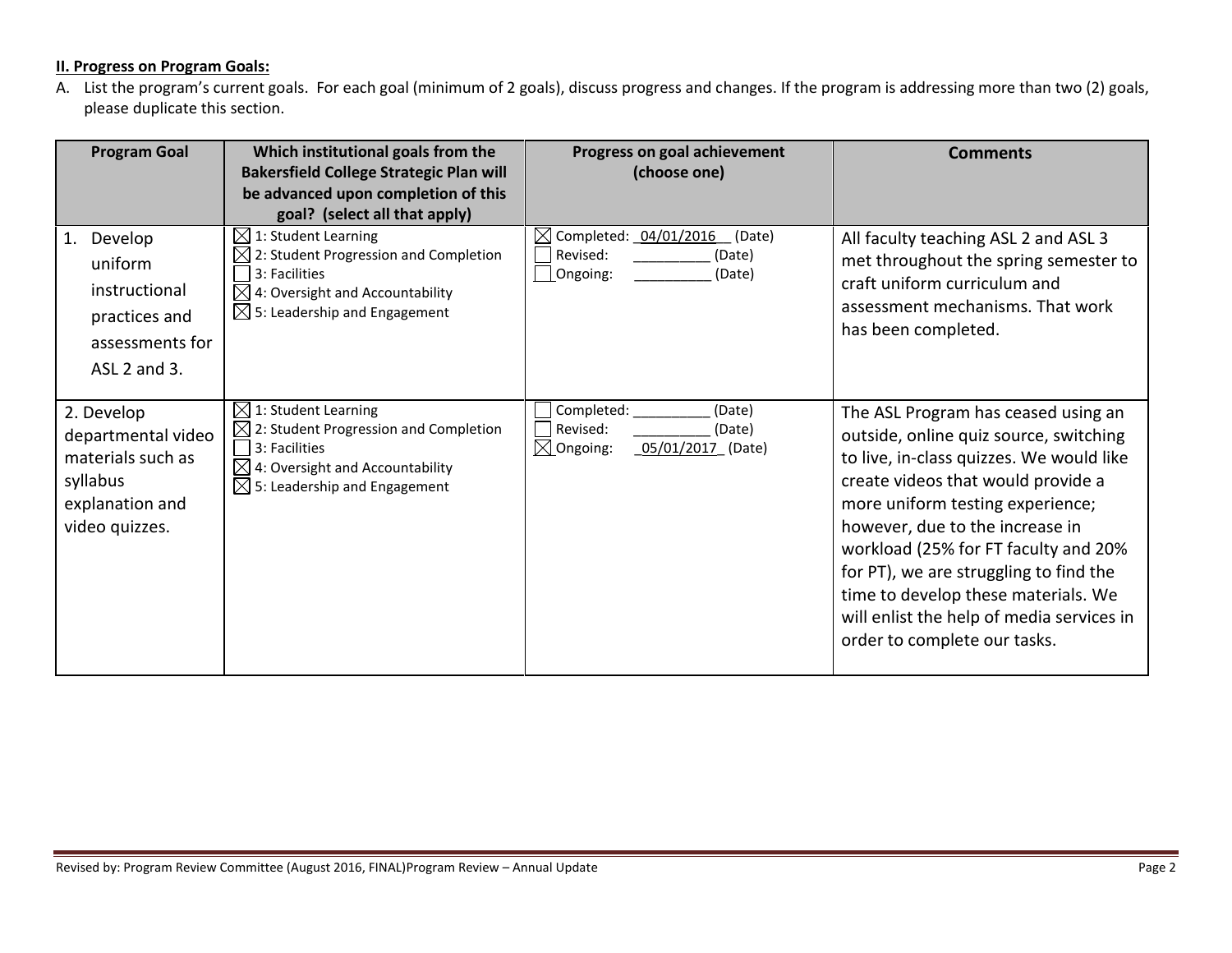# **II. Progress on Program Goals:**

A. List the program's current goals. For each goal (minimum of 2 goals), discuss progress and changes. If the program is addressing more than two (2) goals, please duplicate this section.

| <b>Program Goal</b>                                                                                    | Which institutional goals from the<br><b>Bakersfield College Strategic Plan will</b><br>be advanced upon completion of this<br>goal? (select all that apply)                            | Progress on goal achievement<br>(choose one)                                                                      | <b>Comments</b>                                                                                                                                                                                                                                                                                                                                                                                                                              |
|--------------------------------------------------------------------------------------------------------|-----------------------------------------------------------------------------------------------------------------------------------------------------------------------------------------|-------------------------------------------------------------------------------------------------------------------|----------------------------------------------------------------------------------------------------------------------------------------------------------------------------------------------------------------------------------------------------------------------------------------------------------------------------------------------------------------------------------------------------------------------------------------------|
| Develop<br>1.<br>uniform<br>instructional<br>practices and<br>assessments for<br>ASL 2 and 3.          | $\boxtimes$<br>1: Student Learning<br>2: Student Progression and Completion<br>3: Facilities<br>$\boxtimes$ 4: Oversight and Accountability<br>$\boxtimes$ 5: Leadership and Engagement | $\boxtimes$ Completed: _04/01/2016<br>(Date)<br>Revised:<br>(Date)<br>$\mathbf{\underline{1}}$ Ongoing:<br>(Date) | All faculty teaching ASL 2 and ASL 3<br>met throughout the spring semester to<br>craft uniform curriculum and<br>assessment mechanisms. That work<br>has been completed.                                                                                                                                                                                                                                                                     |
| 2. Develop<br>departmental video<br>materials such as<br>syllabus<br>explanation and<br>video quizzes. | $\boxtimes$<br>1: Student Learning<br>$\boxtimes$ 2: Student Progression and Completion<br>3: Facilities<br>4: Oversight and Accountability<br>$\boxtimes$ 5: Leadership and Engagement | Completed:<br>(Date)<br>Revised:<br>(Date)<br>$\boxtimes$ Ongoing:<br>05/01/2017 (Date)                           | The ASL Program has ceased using an<br>outside, online quiz source, switching<br>to live, in-class quizzes. We would like<br>create videos that would provide a<br>more uniform testing experience;<br>however, due to the increase in<br>workload (25% for FT faculty and 20%<br>for PT), we are struggling to find the<br>time to develop these materials. We<br>will enlist the help of media services in<br>order to complete our tasks. |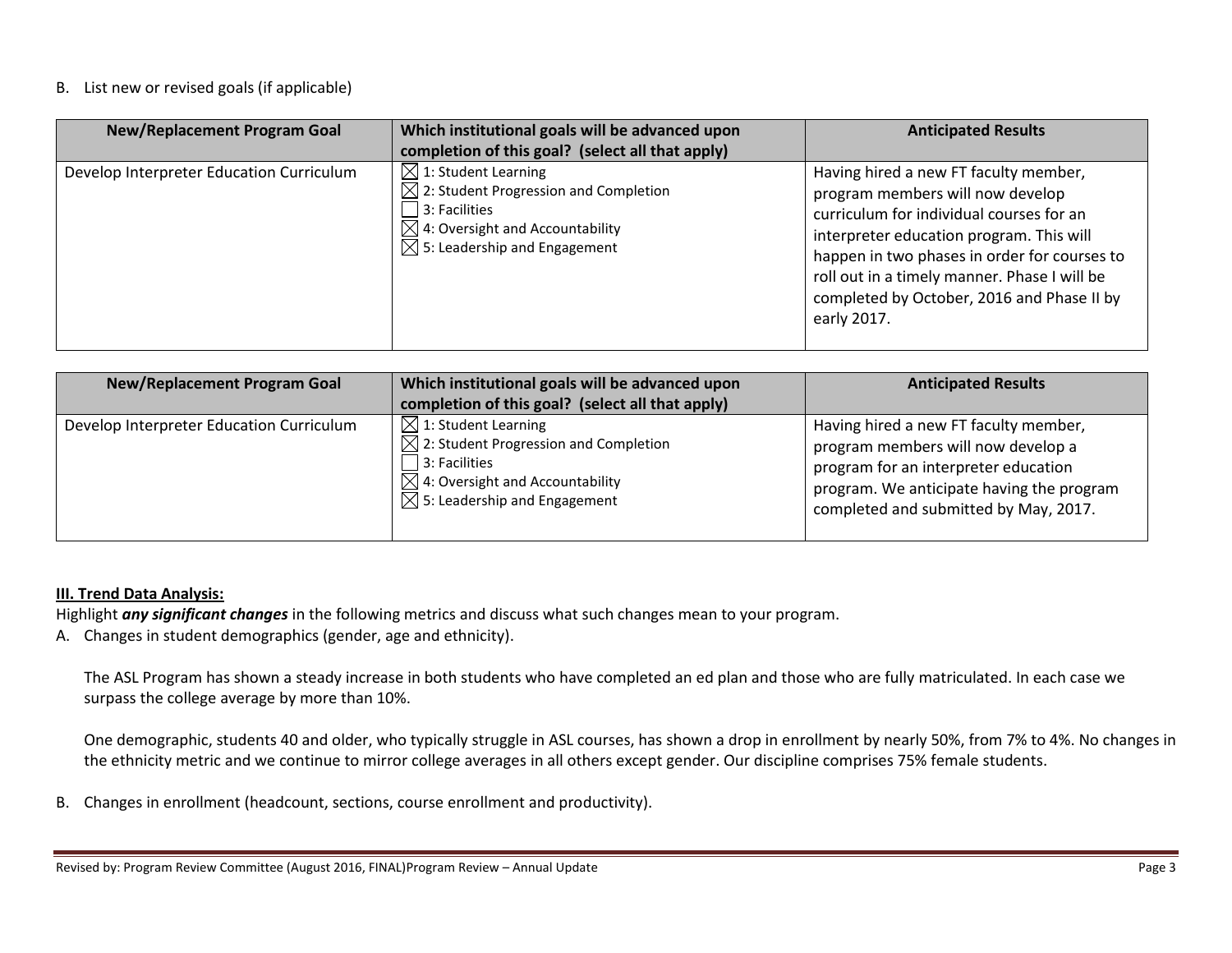### B. List new or revised goals (if applicable)

| <b>New/Replacement Program Goal</b>      | Which institutional goals will be advanced upon<br>completion of this goal? (select all that apply)                                                                                                     | <b>Anticipated Results</b>                                                                                                                                                                                                                                                                                                     |
|------------------------------------------|---------------------------------------------------------------------------------------------------------------------------------------------------------------------------------------------------------|--------------------------------------------------------------------------------------------------------------------------------------------------------------------------------------------------------------------------------------------------------------------------------------------------------------------------------|
| Develop Interpreter Education Curriculum | $\boxtimes$ 1: Student Learning<br>$\boxtimes$ 2: Student Progression and Completion<br>$\Box$ 3: Facilities<br>$\boxtimes$ 4: Oversight and Accountability<br>$\boxtimes$ 5: Leadership and Engagement | Having hired a new FT faculty member,<br>program members will now develop<br>curriculum for individual courses for an<br>interpreter education program. This will<br>happen in two phases in order for courses to<br>roll out in a timely manner. Phase I will be<br>completed by October, 2016 and Phase II by<br>early 2017. |

| <b>New/Replacement Program Goal</b>      | Which institutional goals will be advanced upon<br>completion of this goal? (select all that apply)                                                                                                      | <b>Anticipated Results</b>                                                                                                                                                                                |
|------------------------------------------|----------------------------------------------------------------------------------------------------------------------------------------------------------------------------------------------------------|-----------------------------------------------------------------------------------------------------------------------------------------------------------------------------------------------------------|
| Develop Interpreter Education Curriculum | $\boxtimes$ 1: Student Learning<br>$\boxtimes$ 2: Student Progression and Completion<br>$\vert$ 3: Facilities<br>$\boxtimes$ 4: Oversight and Accountability<br>$\boxtimes$ 5: Leadership and Engagement | Having hired a new FT faculty member,<br>program members will now develop a<br>program for an interpreter education<br>program. We anticipate having the program<br>completed and submitted by May, 2017. |

### **III. Trend Data Analysis:**

Highlight *any significant changes* in the following metrics and discuss what such changes mean to your program.

A. Changes in student demographics (gender, age and ethnicity).

The ASL Program has shown a steady increase in both students who have completed an ed plan and those who are fully matriculated. In each case we surpass the college average by more than 10%.

One demographic, students 40 and older, who typically struggle in ASL courses, has shown a drop in enrollment by nearly 50%, from 7% to 4%. No changes in the ethnicity metric and we continue to mirror college averages in all others except gender. Our discipline comprises 75% female students.

B. Changes in enrollment (headcount, sections, course enrollment and productivity).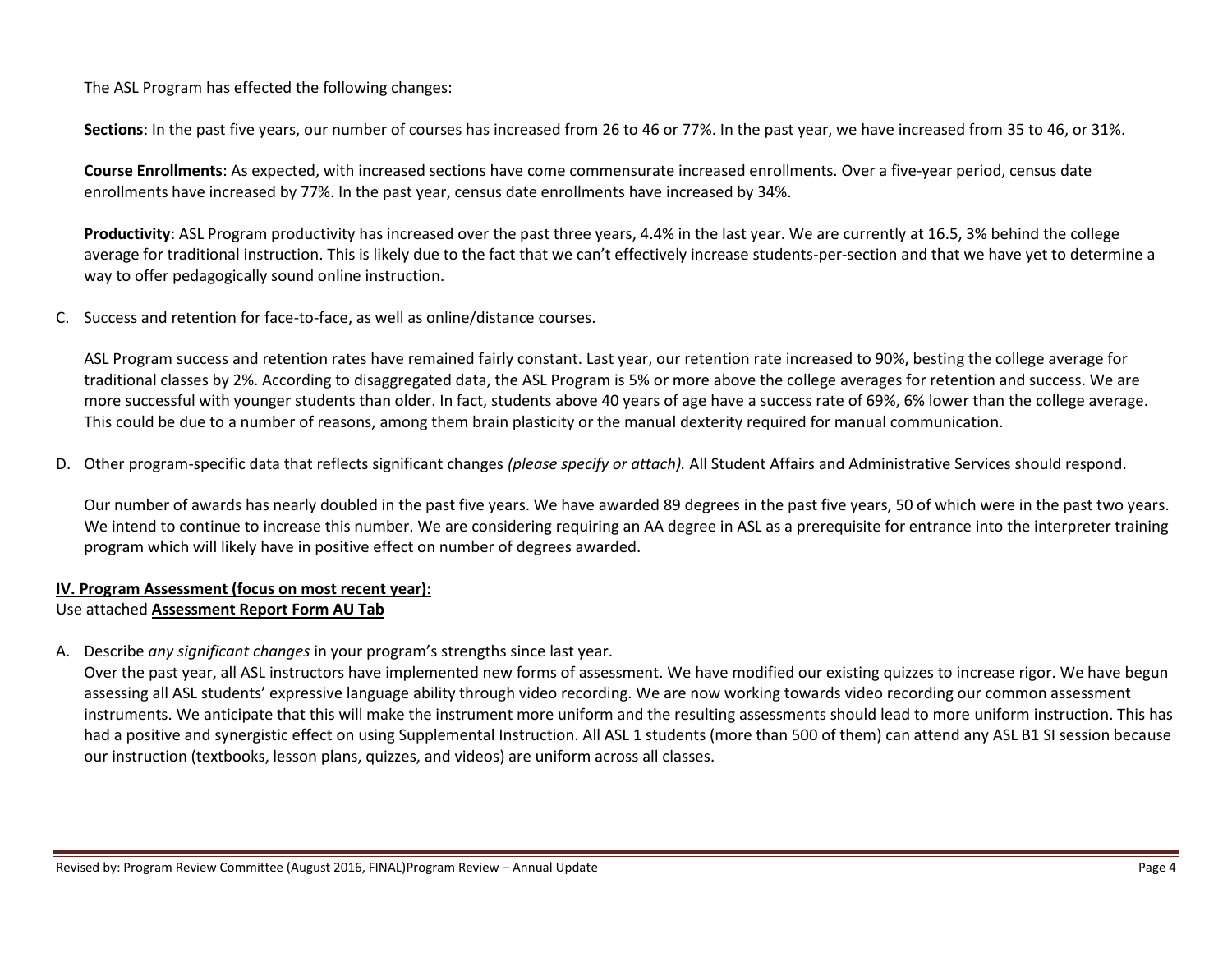The ASL Program has effected the following changes:

**Sections**: In the past five years, our number of courses has increased from 26 to 46 or 77%. In the past year, we have increased from 35 to 46, or 31%.

**Course Enrollments**: As expected, with increased sections have come commensurate increased enrollments. Over a five-year period, census date enrollments have increased by 77%. In the past year, census date enrollments have increased by 34%.

**Productivity**: ASL Program productivity has increased over the past three years, 4.4% in the last year. We are currently at 16.5, 3% behind the college average for traditional instruction. This is likely due to the fact that we can't effectively increase students-per-section and that we have yet to determine a way to offer pedagogically sound online instruction.

C. Success and retention for face-to-face, as well as online/distance courses.

ASL Program success and retention rates have remained fairly constant. Last year, our retention rate increased to 90%, besting the college average for traditional classes by 2%. According to disaggregated data, the ASL Program is 5% or more above the college averages for retention and success. We are more successful with younger students than older. In fact, students above 40 years of age have a success rate of 69%, 6% lower than the college average. This could be due to a number of reasons, among them brain plasticity or the manual dexterity required for manual communication.

D. Other program-specific data that reflects significant changes *(please specify or attach).* All Student Affairs and Administrative Services should respond.

Our number of awards has nearly doubled in the past five years. We have awarded 89 degrees in the past five years, 50 of which were in the past two years. We intend to continue to increase this number. We are considering requiring an AA degree in ASL as a prerequisite for entrance into the interpreter training program which will likely have in positive effect on number of degrees awarded.

# **IV. Program Assessment (focus on most recent year):**

# Use attached **Assessment Report Form AU Tab**

A. Describe *any significant changes* in your program's strengths since last year.

Over the past year, all ASL instructors have implemented new forms of assessment. We have modified our existing quizzes to increase rigor. We have begun assessing all ASL students' expressive language ability through video recording. We are now working towards video recording our common assessment instruments. We anticipate that this will make the instrument more uniform and the resulting assessments should lead to more uniform instruction. This has had a positive and synergistic effect on using Supplemental Instruction. All ASL 1 students (more than 500 of them) can attend any ASL B1 SI session because our instruction (textbooks, lesson plans, quizzes, and videos) are uniform across all classes.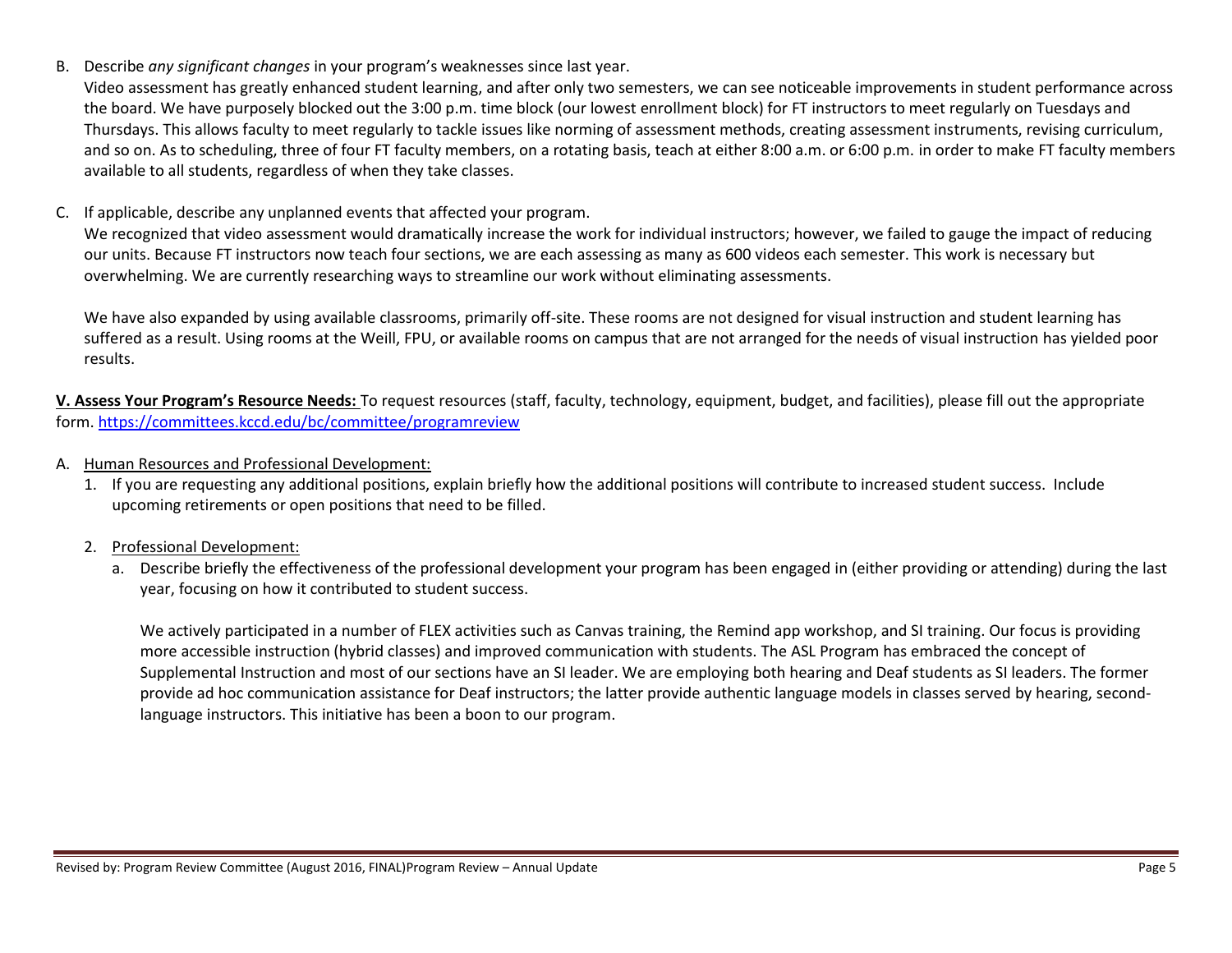B. Describe *any significant changes* in your program's weaknesses since last year.

Video assessment has greatly enhanced student learning, and after only two semesters, we can see noticeable improvements in student performance across the board. We have purposely blocked out the 3:00 p.m. time block (our lowest enrollment block) for FT instructors to meet regularly on Tuesdays and Thursdays. This allows faculty to meet regularly to tackle issues like norming of assessment methods, creating assessment instruments, revising curriculum, and so on. As to scheduling, three of four FT faculty members, on a rotating basis, teach at either 8:00 a.m. or 6:00 p.m. in order to make FT faculty members available to all students, regardless of when they take classes.

C. If applicable, describe any unplanned events that affected your program.

We recognized that video assessment would dramatically increase the work for individual instructors; however, we failed to gauge the impact of reducing our units. Because FT instructors now teach four sections, we are each assessing as many as 600 videos each semester. This work is necessary but overwhelming. We are currently researching ways to streamline our work without eliminating assessments.

We have also expanded by using available classrooms, primarily off-site. These rooms are not designed for visual instruction and student learning has suffered as a result. Using rooms at the Weill, FPU, or available rooms on campus that are not arranged for the needs of visual instruction has yielded poor results.

**V. Assess Your Program's Resource Needs:** To request resources (staff, faculty, technology, equipment, budget, and facilities), please fill out the appropriate form.<https://committees.kccd.edu/bc/committee/programreview>

- A. Human Resources and Professional Development:
	- 1. If you are requesting any additional positions, explain briefly how the additional positions will contribute to increased student success. Include upcoming retirements or open positions that need to be filled.
	- 2. Professional Development:
		- a. Describe briefly the effectiveness of the professional development your program has been engaged in (either providing or attending) during the last year, focusing on how it contributed to student success.

We actively participated in a number of FLEX activities such as Canvas training, the Remind app workshop, and SI training. Our focus is providing more accessible instruction (hybrid classes) and improved communication with students. The ASL Program has embraced the concept of Supplemental Instruction and most of our sections have an SI leader. We are employing both hearing and Deaf students as SI leaders. The former provide ad hoc communication assistance for Deaf instructors; the latter provide authentic language models in classes served by hearing, secondlanguage instructors. This initiative has been a boon to our program.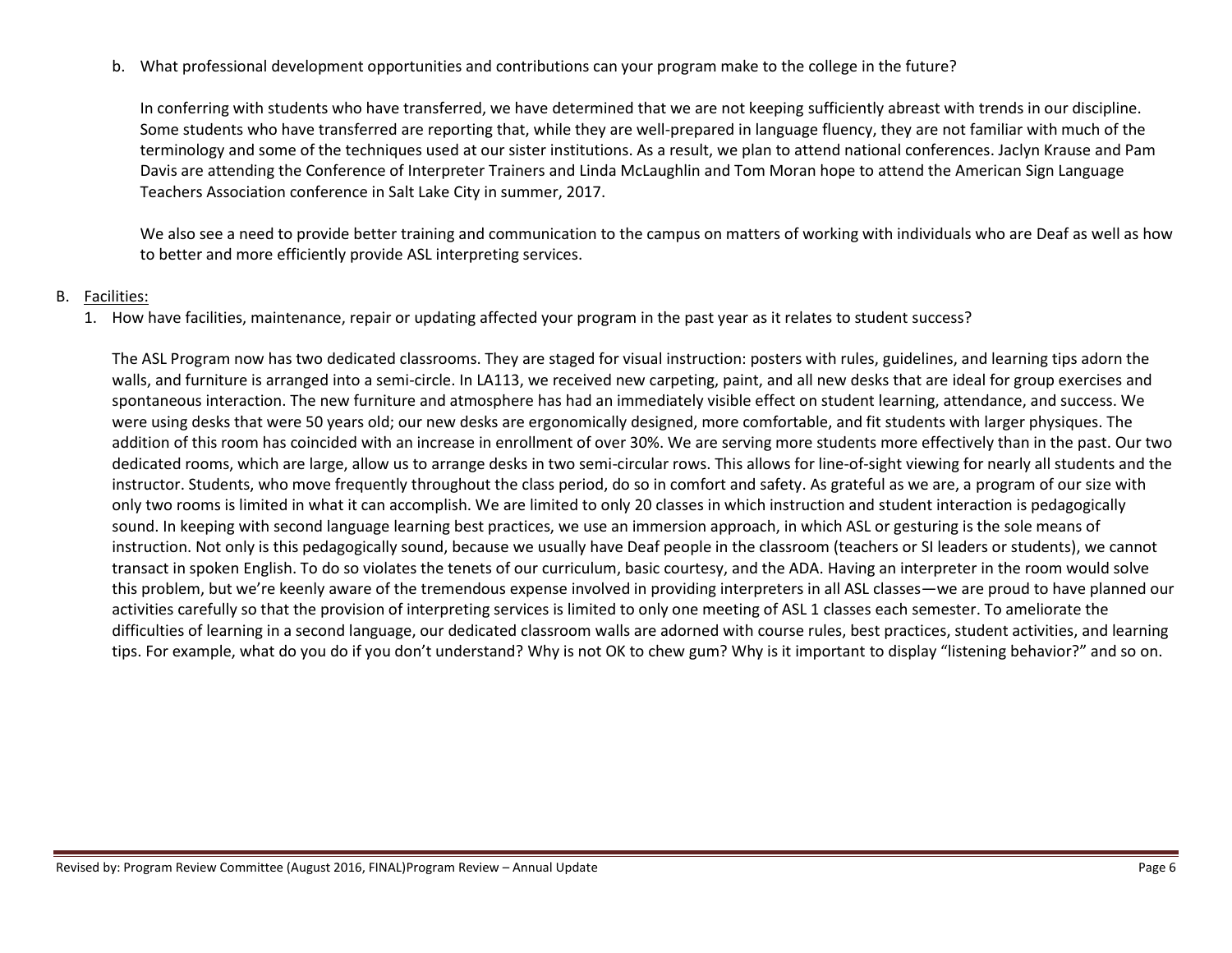b. What professional development opportunities and contributions can your program make to the college in the future?

In conferring with students who have transferred, we have determined that we are not keeping sufficiently abreast with trends in our discipline. Some students who have transferred are reporting that, while they are well-prepared in language fluency, they are not familiar with much of the terminology and some of the techniques used at our sister institutions. As a result, we plan to attend national conferences. Jaclyn Krause and Pam Davis are attending the Conference of Interpreter Trainers and Linda McLaughlin and Tom Moran hope to attend the American Sign Language Teachers Association conference in Salt Lake City in summer, 2017.

We also see a need to provide better training and communication to the campus on matters of working with individuals who are Deaf as well as how to better and more efficiently provide ASL interpreting services.

### B. Facilities:

1. How have facilities, maintenance, repair or updating affected your program in the past year as it relates to student success?

The ASL Program now has two dedicated classrooms. They are staged for visual instruction: posters with rules, guidelines, and learning tips adorn the walls, and furniture is arranged into a semi-circle. In LA113, we received new carpeting, paint, and all new desks that are ideal for group exercises and spontaneous interaction. The new furniture and atmosphere has had an immediately visible effect on student learning, attendance, and success. We were using desks that were 50 years old; our new desks are ergonomically designed, more comfortable, and fit students with larger physiques. The addition of this room has coincided with an increase in enrollment of over 30%. We are serving more students more effectively than in the past. Our two dedicated rooms, which are large, allow us to arrange desks in two semi-circular rows. This allows for line-of-sight viewing for nearly all students and the instructor. Students, who move frequently throughout the class period, do so in comfort and safety. As grateful as we are, a program of our size with only two rooms is limited in what it can accomplish. We are limited to only 20 classes in which instruction and student interaction is pedagogically sound. In keeping with second language learning best practices, we use an immersion approach, in which ASL or gesturing is the sole means of instruction. Not only is this pedagogically sound, because we usually have Deaf people in the classroom (teachers or SI leaders or students), we cannot transact in spoken English. To do so violates the tenets of our curriculum, basic courtesy, and the ADA. Having an interpreter in the room would solve this problem, but we're keenly aware of the tremendous expense involved in providing interpreters in all ASL classes—we are proud to have planned our activities carefully so that the provision of interpreting services is limited to only one meeting of ASL 1 classes each semester. To ameliorate the difficulties of learning in a second language, our dedicated classroom walls are adorned with course rules, best practices, student activities, and learning tips. For example, what do you do if you don't understand? Why is not OK to chew gum? Why is it important to display "listening behavior?" and so on.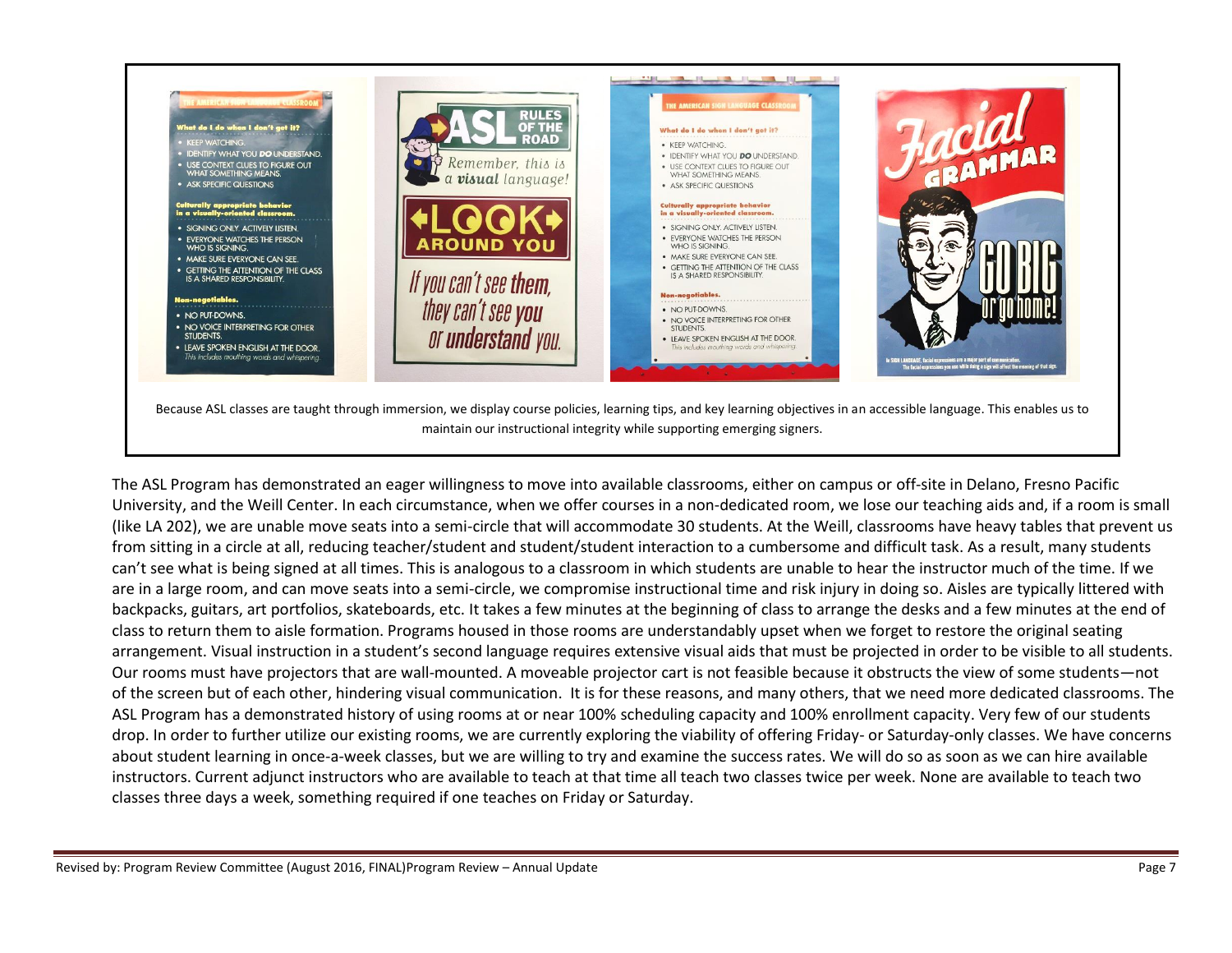

The ASL Program has demonstrated an eager willingness to move into available classrooms, either on campus or off-site in Delano, Fresno Pacific University, and the Weill Center. In each circumstance, when we offer courses in a non-dedicated room, we lose our teaching aids and, if a room is small (like LA 202), we are unable move seats into a semi-circle that will accommodate 30 students. At the Weill, classrooms have heavy tables that prevent us from sitting in a circle at all, reducing teacher/student and student/student interaction to a cumbersome and difficult task. As a result, many students can't see what is being signed at all times. This is analogous to a classroom in which students are unable to hear the instructor much of the time. If we are in a large room, and can move seats into a semi-circle, we compromise instructional time and risk injury in doing so. Aisles are typically littered with backpacks, guitars, art portfolios, skateboards, etc. It takes a few minutes at the beginning of class to arrange the desks and a few minutes at the end of class to return them to aisle formation. Programs housed in those rooms are understandably upset when we forget to restore the original seating arrangement. Visual instruction in a student's second language requires extensive visual aids that must be projected in order to be visible to all students. Our rooms must have projectors that are wall-mounted. A moveable projector cart is not feasible because it obstructs the view of some students—not of the screen but of each other, hindering visual communication. It is for these reasons, and many others, that we need more dedicated classrooms. The ASL Program has a demonstrated history of using rooms at or near 100% scheduling capacity and 100% enrollment capacity. Very few of our students drop. In order to further utilize our existing rooms, we are currently exploring the viability of offering Friday- or Saturday-only classes. We have concerns about student learning in once-a-week classes, but we are willing to try and examine the success rates. We will do so as soon as we can hire available instructors. Current adjunct instructors who are available to teach at that time all teach two classes twice per week. None are available to teach two classes three days a week, something required if one teaches on Friday or Saturday.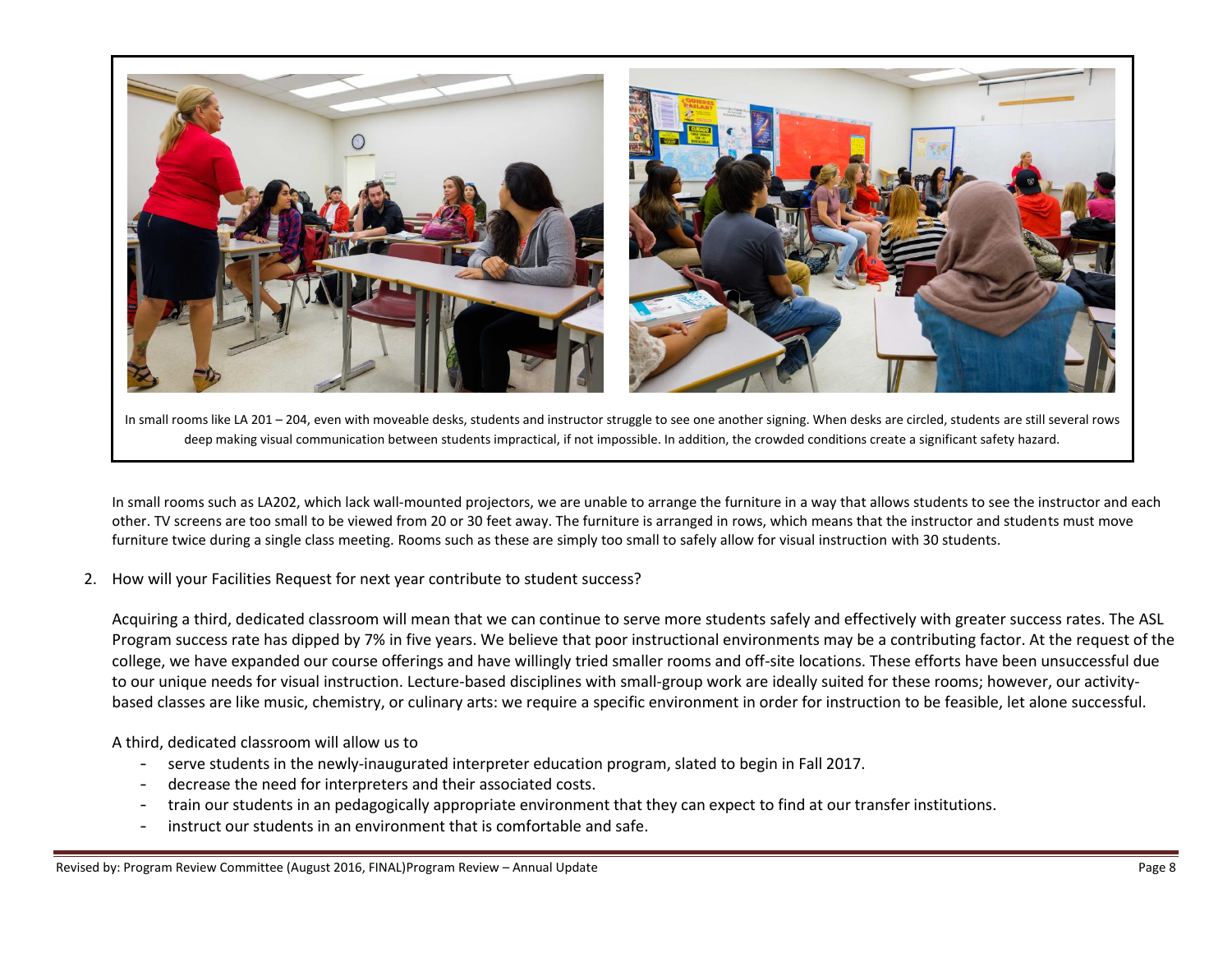

In small rooms like LA 201 – 204, even with moveable desks, students and instructor struggle to see one another signing. When desks are circled, students are still several rows deep making visual communication between students impractical, if not impossible. In addition, the crowded conditions create a significant safety hazard.

In small rooms such as LA202, which lack wall-mounted projectors, we are unable to arrange the furniture in a way that allows students to see the instructor and each other. TV screens are too small to be viewed from 20 or 30 feet away. The furniture is arranged in rows, which means that the instructor and students must move furniture twice during a single class meeting. Rooms such as these are simply too small to safely allow for visual instruction with 30 students.

2. How will your Facilities Request for next year contribute to student success?

Acquiring a third, dedicated classroom will mean that we can continue to serve more students safely and effectively with greater success rates. The ASL Program success rate has dipped by 7% in five years. We believe that poor instructional environments may be a contributing factor. At the request of the college, we have expanded our course offerings and have willingly tried smaller rooms and off-site locations. These efforts have been unsuccessful due to our unique needs for visual instruction. Lecture-based disciplines with small-group work are ideally suited for these rooms; however, our activitybased classes are like music, chemistry, or culinary arts: we require a specific environment in order for instruction to be feasible, let alone successful.

A third, dedicated classroom will allow us to

- serve students in the newly-inaugurated interpreter education program, slated to begin in Fall 2017.
- decrease the need for interpreters and their associated costs.
- train our students in an pedagogically appropriate environment that they can expect to find at our transfer institutions.
- instruct our students in an environment that is comfortable and safe.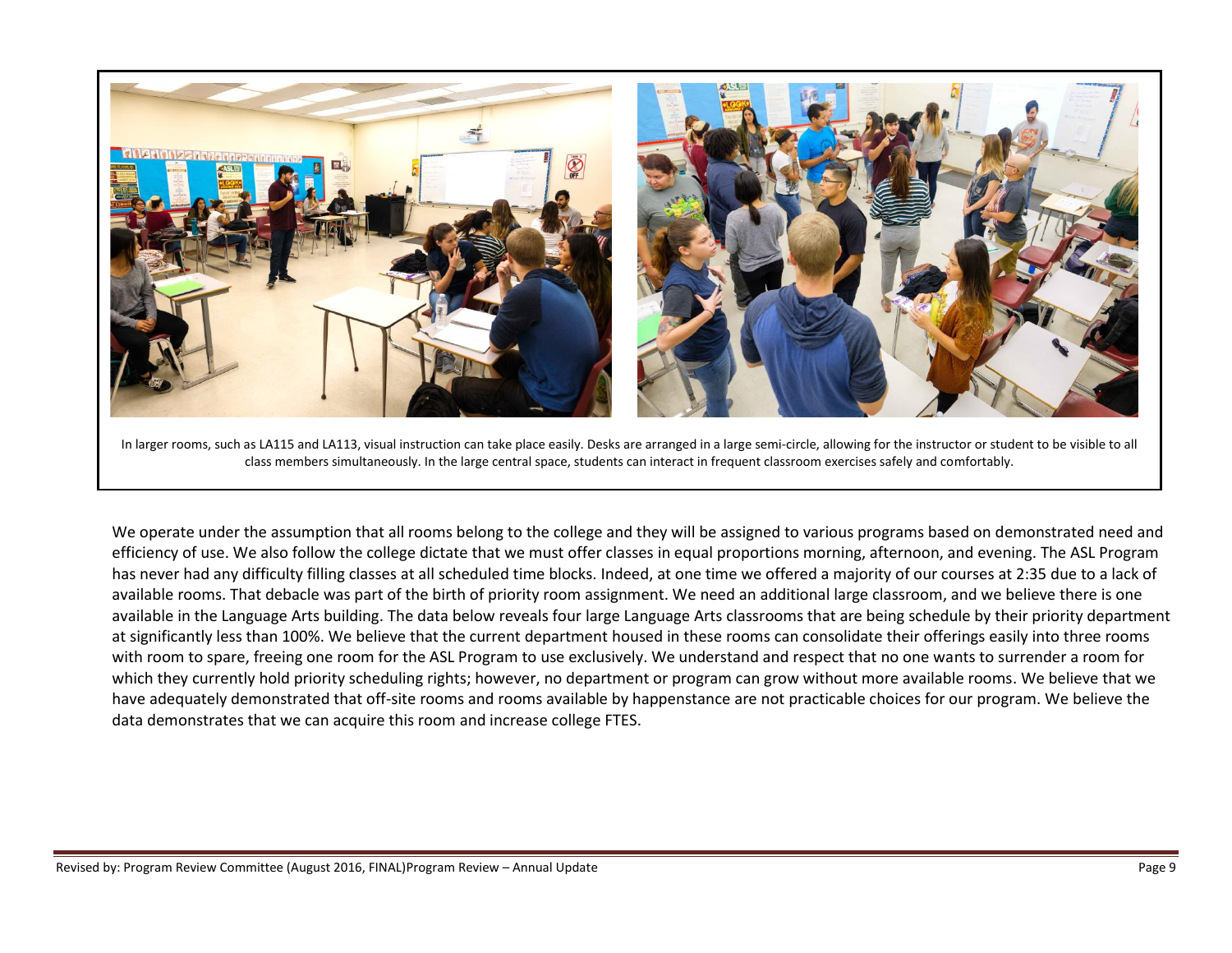

In larger rooms, such as LA115 and LA113, visual instruction can take place easily. Desks are arranged in a large semi-circle, allowing for the instructor or student to be visible to all class members simultaneously. In the large central space, students can interact in frequent classroom exercises safely and comfortably.

We operate under the assumption that all rooms belong to the college and they will be assigned to various programs based on demonstrated need and efficiency of use. We also follow the college dictate that we must offer classes in equal proportions morning, afternoon, and evening. The ASL Program has never had any difficulty filling classes at all scheduled time blocks. Indeed, at one time we offered a majority of our courses at 2:35 due to a lack of available rooms. That debacle was part of the birth of priority room assignment. We need an additional large classroom, and we believe there is one available in the Language Arts building. The data below reveals four large Language Arts classrooms that are being schedule by their priority department at significantly less than 100%. We believe that the current department housed in these rooms can consolidate their offerings easily into three rooms with room to spare, freeing one room for the ASL Program to use exclusively. We understand and respect that no one wants to surrender a room for which they currently hold priority scheduling rights; however, no department or program can grow without more available rooms. We believe that we have adequately demonstrated that off-site rooms and rooms available by happenstance are not practicable choices for our program. We believe the data demonstrates that we can acquire this room and increase college FTES.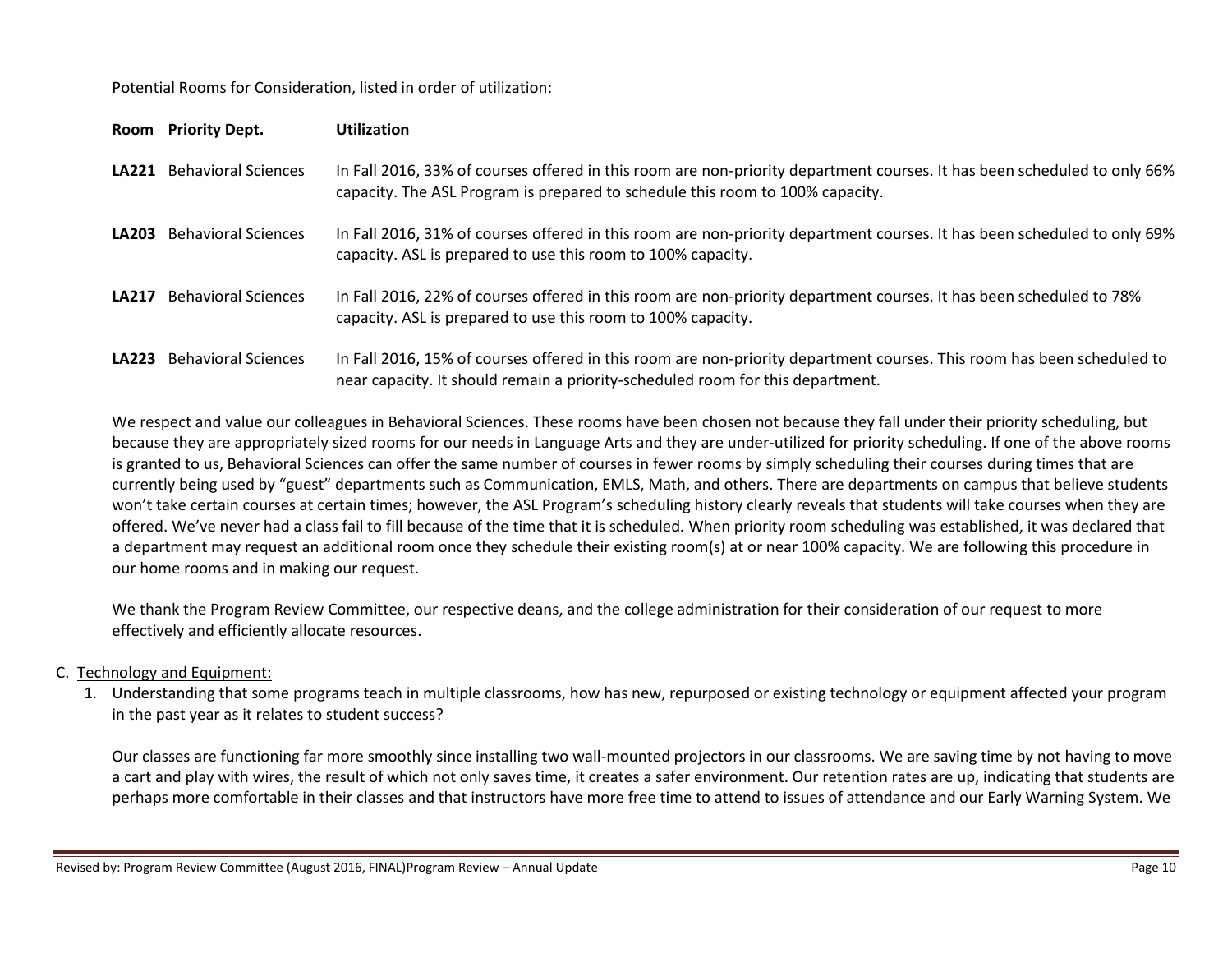Potential Rooms for Consideration, listed in order of utilization:

|              | Room Priority Dept.              | <b>Utilization</b>                                                                                                                                                                                        |
|--------------|----------------------------------|-----------------------------------------------------------------------------------------------------------------------------------------------------------------------------------------------------------|
|              | <b>LA221</b> Behavioral Sciences | In Fall 2016, 33% of courses offered in this room are non-priority department courses. It has been scheduled to only 66%<br>capacity. The ASL Program is prepared to schedule this room to 100% capacity. |
|              | <b>LA203</b> Behavioral Sciences | In Fall 2016, 31% of courses offered in this room are non-priority department courses. It has been scheduled to only 69%<br>capacity. ASL is prepared to use this room to 100% capacity.                  |
| <b>LA217</b> | <b>Behavioral Sciences</b>       | In Fall 2016, 22% of courses offered in this room are non-priority department courses. It has been scheduled to 78%<br>capacity. ASL is prepared to use this room to 100% capacity.                       |
|              | <b>LA223</b> Behavioral Sciences | In Fall 2016, 15% of courses offered in this room are non-priority department courses. This room has been scheduled to<br>near capacity. It should remain a priority-scheduled room for this department.  |

We respect and value our colleagues in Behavioral Sciences. These rooms have been chosen not because they fall under their priority scheduling, but because they are appropriately sized rooms for our needs in Language Arts and they are under-utilized for priority scheduling. If one of the above rooms is granted to us, Behavioral Sciences can offer the same number of courses in fewer rooms by simply scheduling their courses during times that are currently being used by "guest" departments such as Communication, EMLS, Math, and others. There are departments on campus that believe students won't take certain courses at certain times; however, the ASL Program's scheduling history clearly reveals that students will take courses when they are offered. We've never had a class fail to fill because of the time that it is scheduled. When priority room scheduling was established, it was declared that a department may request an additional room once they schedule their existing room(s) at or near 100% capacity. We are following this procedure in our home rooms and in making our request.

We thank the Program Review Committee, our respective deans, and the college administration for their consideration of our request to more effectively and efficiently allocate resources.

# C. Technology and Equipment:

1. Understanding that some programs teach in multiple classrooms, how has new, repurposed or existing technology or equipment affected your program in the past year as it relates to student success?

Our classes are functioning far more smoothly since installing two wall-mounted projectors in our classrooms. We are saving time by not having to move a cart and play with wires, the result of which not only saves time, it creates a safer environment. Our retention rates are up, indicating that students are perhaps more comfortable in their classes and that instructors have more free time to attend to issues of attendance and our Early Warning System. We